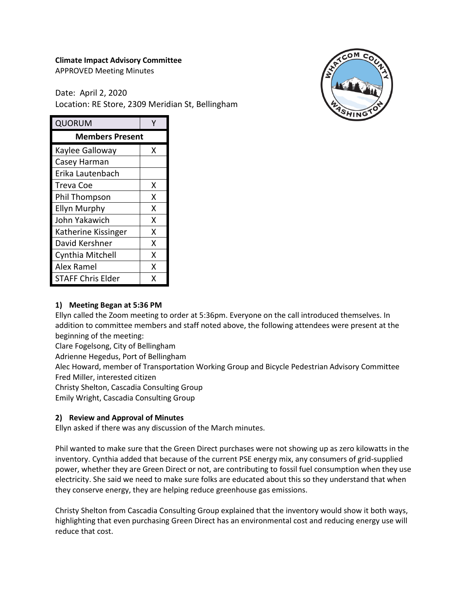# **Climate Impact Advisory Committee**

APPROVED Meeting Minutes

Date: April 2, 2020 Location: RE Store, 2309 Meridian St, Bellingham



| QUORUM                   |   |
|--------------------------|---|
| <b>Members Present</b>   |   |
| Kaylee Galloway          | x |
| Casey Harman             |   |
| Erika Lautenbach         |   |
| Treva Coe                | x |
| Phil Thompson            | x |
| Ellyn Murphy             | x |
| John Yakawich            | x |
| Katherine Kissinger      | x |
| David Kershner           | x |
| Cynthia Mitchell         | x |
| Alex Ramel               | x |
| <b>STAFF Chris Elder</b> | x |

### **1) Meeting Began at 5:36 PM**

Ellyn called the Zoom meeting to order at 5:36pm. Everyone on the call introduced themselves. In addition to committee members and staff noted above, the following attendees were present at the beginning of the meeting:

Clare Fogelsong, City of Bellingham

Adrienne Hegedus, Port of Bellingham

Alec Howard, member of Transportation Working Group and Bicycle Pedestrian Advisory Committee Fred Miller, interested citizen

Christy Shelton, Cascadia Consulting Group

Emily Wright, Cascadia Consulting Group

#### **2) Review and Approval of Minutes**

Ellyn asked if there was any discussion of the March minutes.

Phil wanted to make sure that the Green Direct purchases were not showing up as zero kilowatts in the inventory. Cynthia added that because of the current PSE energy mix, any consumers of grid-supplied power, whether they are Green Direct or not, are contributing to fossil fuel consumption when they use electricity. She said we need to make sure folks are educated about this so they understand that when they conserve energy, they are helping reduce greenhouse gas emissions.

Christy Shelton from Cascadia Consulting Group explained that the inventory would show it both ways, highlighting that even purchasing Green Direct has an environmental cost and reducing energy use will reduce that cost.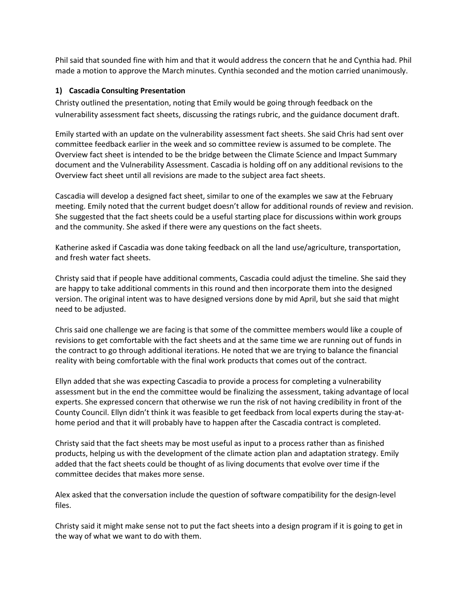Phil said that sounded fine with him and that it would address the concern that he and Cynthia had. Phil made a motion to approve the March minutes. Cynthia seconded and the motion carried unanimously.

## **1) Cascadia Consulting Presentation**

Christy outlined the presentation, noting that Emily would be going through feedback on the vulnerability assessment fact sheets, discussing the ratings rubric, and the guidance document draft.

Emily started with an update on the vulnerability assessment fact sheets. She said Chris had sent over committee feedback earlier in the week and so committee review is assumed to be complete. The Overview fact sheet is intended to be the bridge between the Climate Science and Impact Summary document and the Vulnerability Assessment. Cascadia is holding off on any additional revisions to the Overview fact sheet until all revisions are made to the subject area fact sheets.

Cascadia will develop a designed fact sheet, similar to one of the examples we saw at the February meeting. Emily noted that the current budget doesn't allow for additional rounds of review and revision. She suggested that the fact sheets could be a useful starting place for discussions within work groups and the community. She asked if there were any questions on the fact sheets.

Katherine asked if Cascadia was done taking feedback on all the land use/agriculture, transportation, and fresh water fact sheets.

Christy said that if people have additional comments, Cascadia could adjust the timeline. She said they are happy to take additional comments in this round and then incorporate them into the designed version. The original intent was to have designed versions done by mid April, but she said that might need to be adjusted.

Chris said one challenge we are facing is that some of the committee members would like a couple of revisions to get comfortable with the fact sheets and at the same time we are running out of funds in the contract to go through additional iterations. He noted that we are trying to balance the financial reality with being comfortable with the final work products that comes out of the contract.

Ellyn added that she was expecting Cascadia to provide a process for completing a vulnerability assessment but in the end the committee would be finalizing the assessment, taking advantage of local experts. She expressed concern that otherwise we run the risk of not having credibility in front of the County Council. Ellyn didn't think it was feasible to get feedback from local experts during the stay-athome period and that it will probably have to happen after the Cascadia contract is completed.

Christy said that the fact sheets may be most useful as input to a process rather than as finished products, helping us with the development of the climate action plan and adaptation strategy. Emily added that the fact sheets could be thought of as living documents that evolve over time if the committee decides that makes more sense.

Alex asked that the conversation include the question of software compatibility for the design-level files.

Christy said it might make sense not to put the fact sheets into a design program if it is going to get in the way of what we want to do with them.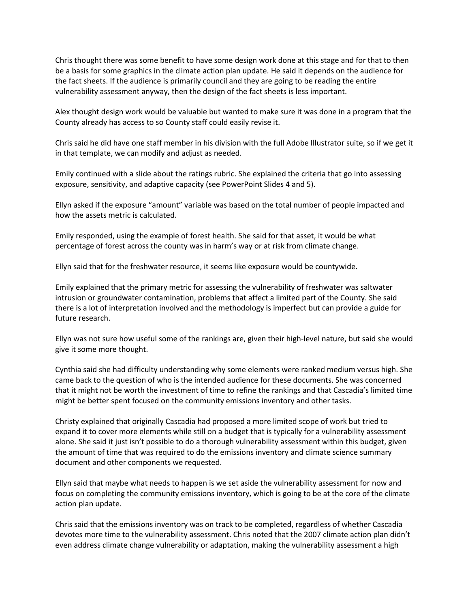Chris thought there was some benefit to have some design work done at this stage and for that to then be a basis for some graphics in the climate action plan update. He said it depends on the audience for the fact sheets. If the audience is primarily council and they are going to be reading the entire vulnerability assessment anyway, then the design of the fact sheets is less important.

Alex thought design work would be valuable but wanted to make sure it was done in a program that the County already has access to so County staff could easily revise it.

Chris said he did have one staff member in his division with the full Adobe Illustrator suite, so if we get it in that template, we can modify and adjust as needed.

Emily continued with a slide about the ratings rubric. She explained the criteria that go into assessing exposure, sensitivity, and adaptive capacity (see PowerPoint Slides 4 and 5).

Ellyn asked if the exposure "amount" variable was based on the total number of people impacted and how the assets metric is calculated.

Emily responded, using the example of forest health. She said for that asset, it would be what percentage of forest across the county was in harm's way or at risk from climate change.

Ellyn said that for the freshwater resource, it seems like exposure would be countywide.

Emily explained that the primary metric for assessing the vulnerability of freshwater was saltwater intrusion or groundwater contamination, problems that affect a limited part of the County. She said there is a lot of interpretation involved and the methodology is imperfect but can provide a guide for future research.

Ellyn was not sure how useful some of the rankings are, given their high-level nature, but said she would give it some more thought.

Cynthia said she had difficulty understanding why some elements were ranked medium versus high. She came back to the question of who is the intended audience for these documents. She was concerned that it might not be worth the investment of time to refine the rankings and that Cascadia's limited time might be better spent focused on the community emissions inventory and other tasks.

Christy explained that originally Cascadia had proposed a more limited scope of work but tried to expand it to cover more elements while still on a budget that is typically for a vulnerability assessment alone. She said it just isn't possible to do a thorough vulnerability assessment within this budget, given the amount of time that was required to do the emissions inventory and climate science summary document and other components we requested.

Ellyn said that maybe what needs to happen is we set aside the vulnerability assessment for now and focus on completing the community emissions inventory, which is going to be at the core of the climate action plan update.

Chris said that the emissions inventory was on track to be completed, regardless of whether Cascadia devotes more time to the vulnerability assessment. Chris noted that the 2007 climate action plan didn't even address climate change vulnerability or adaptation, making the vulnerability assessment a high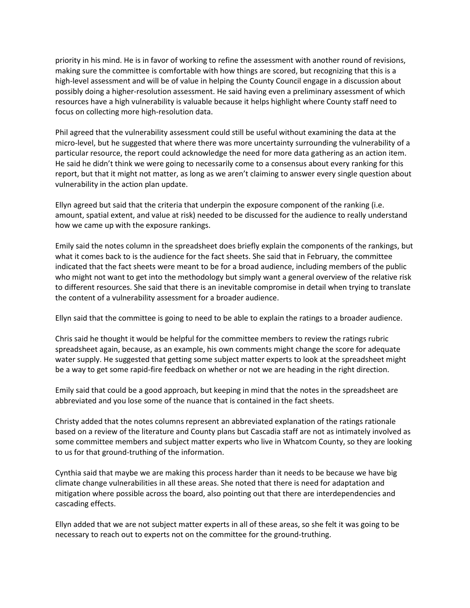priority in his mind. He is in favor of working to refine the assessment with another round of revisions, making sure the committee is comfortable with how things are scored, but recognizing that this is a high-level assessment and will be of value in helping the County Council engage in a discussion about possibly doing a higher-resolution assessment. He said having even a preliminary assessment of which resources have a high vulnerability is valuable because it helps highlight where County staff need to focus on collecting more high-resolution data.

Phil agreed that the vulnerability assessment could still be useful without examining the data at the micro-level, but he suggested that where there was more uncertainty surrounding the vulnerability of a particular resource, the report could acknowledge the need for more data gathering as an action item. He said he didn't think we were going to necessarily come to a consensus about every ranking for this report, but that it might not matter, as long as we aren't claiming to answer every single question about vulnerability in the action plan update.

Ellyn agreed but said that the criteria that underpin the exposure component of the ranking (i.e. amount, spatial extent, and value at risk) needed to be discussed for the audience to really understand how we came up with the exposure rankings.

Emily said the notes column in the spreadsheet does briefly explain the components of the rankings, but what it comes back to is the audience for the fact sheets. She said that in February, the committee indicated that the fact sheets were meant to be for a broad audience, including members of the public who might not want to get into the methodology but simply want a general overview of the relative risk to different resources. She said that there is an inevitable compromise in detail when trying to translate the content of a vulnerability assessment for a broader audience.

Ellyn said that the committee is going to need to be able to explain the ratings to a broader audience.

Chris said he thought it would be helpful for the committee members to review the ratings rubric spreadsheet again, because, as an example, his own comments might change the score for adequate water supply. He suggested that getting some subject matter experts to look at the spreadsheet might be a way to get some rapid-fire feedback on whether or not we are heading in the right direction.

Emily said that could be a good approach, but keeping in mind that the notes in the spreadsheet are abbreviated and you lose some of the nuance that is contained in the fact sheets.

Christy added that the notes columns represent an abbreviated explanation of the ratings rationale based on a review of the literature and County plans but Cascadia staff are not as intimately involved as some committee members and subject matter experts who live in Whatcom County, so they are looking to us for that ground-truthing of the information.

Cynthia said that maybe we are making this process harder than it needs to be because we have big climate change vulnerabilities in all these areas. She noted that there is need for adaptation and mitigation where possible across the board, also pointing out that there are interdependencies and cascading effects.

Ellyn added that we are not subject matter experts in all of these areas, so she felt it was going to be necessary to reach out to experts not on the committee for the ground-truthing.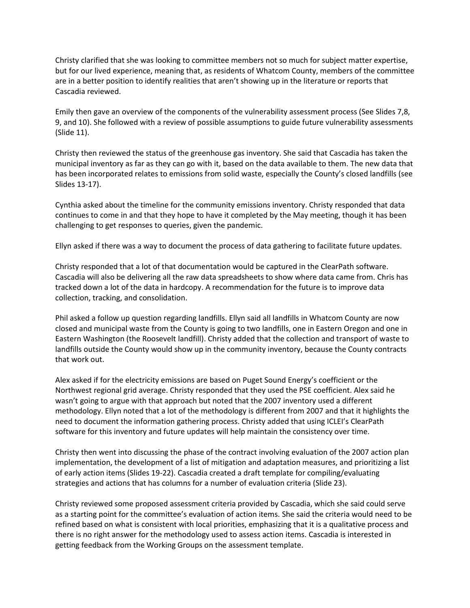Christy clarified that she was looking to committee members not so much for subject matter expertise, but for our lived experience, meaning that, as residents of Whatcom County, members of the committee are in a better position to identify realities that aren't showing up in the literature or reports that Cascadia reviewed.

Emily then gave an overview of the components of the vulnerability assessment process (See Slides 7,8, 9, and 10). She followed with a review of possible assumptions to guide future vulnerability assessments (Slide 11).

Christy then reviewed the status of the greenhouse gas inventory. She said that Cascadia has taken the municipal inventory as far as they can go with it, based on the data available to them. The new data that has been incorporated relates to emissions from solid waste, especially the County's closed landfills (see Slides 13-17).

Cynthia asked about the timeline for the community emissions inventory. Christy responded that data continues to come in and that they hope to have it completed by the May meeting, though it has been challenging to get responses to queries, given the pandemic.

Ellyn asked if there was a way to document the process of data gathering to facilitate future updates.

Christy responded that a lot of that documentation would be captured in the ClearPath software. Cascadia will also be delivering all the raw data spreadsheets to show where data came from. Chris has tracked down a lot of the data in hardcopy. A recommendation for the future is to improve data collection, tracking, and consolidation.

Phil asked a follow up question regarding landfills. Ellyn said all landfills in Whatcom County are now closed and municipal waste from the County is going to two landfills, one in Eastern Oregon and one in Eastern Washington (the Roosevelt landfill). Christy added that the collection and transport of waste to landfills outside the County would show up in the community inventory, because the County contracts that work out.

Alex asked if for the electricity emissions are based on Puget Sound Energy's coefficient or the Northwest regional grid average. Christy responded that they used the PSE coefficient. Alex said he wasn't going to argue with that approach but noted that the 2007 inventory used a different methodology. Ellyn noted that a lot of the methodology is different from 2007 and that it highlights the need to document the information gathering process. Christy added that using ICLEI's ClearPath software for this inventory and future updates will help maintain the consistency over time.

Christy then went into discussing the phase of the contract involving evaluation of the 2007 action plan implementation, the development of a list of mitigation and adaptation measures, and prioritizing a list of early action items (Slides 19-22). Cascadia created a draft template for compiling/evaluating strategies and actions that has columns for a number of evaluation criteria (Slide 23).

Christy reviewed some proposed assessment criteria provided by Cascadia, which she said could serve as a starting point for the committee's evaluation of action items. She said the criteria would need to be refined based on what is consistent with local priorities, emphasizing that it is a qualitative process and there is no right answer for the methodology used to assess action items. Cascadia is interested in getting feedback from the Working Groups on the assessment template.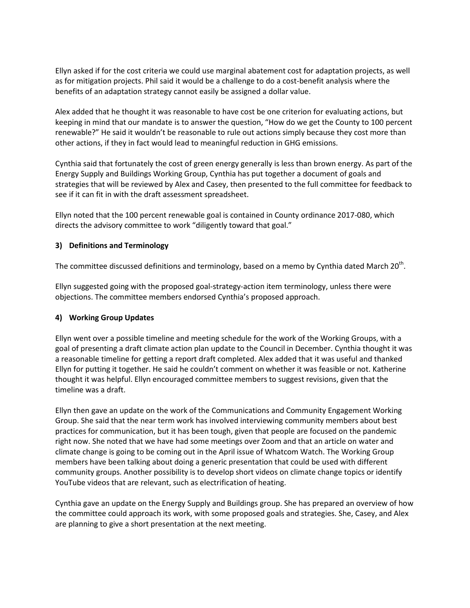Ellyn asked if for the cost criteria we could use marginal abatement cost for adaptation projects, as well as for mitigation projects. Phil said it would be a challenge to do a cost-benefit analysis where the benefits of an adaptation strategy cannot easily be assigned a dollar value.

Alex added that he thought it was reasonable to have cost be one criterion for evaluating actions, but keeping in mind that our mandate is to answer the question, "How do we get the County to 100 percent renewable?" He said it wouldn't be reasonable to rule out actions simply because they cost more than other actions, if they in fact would lead to meaningful reduction in GHG emissions.

Cynthia said that fortunately the cost of green energy generally is less than brown energy. As part of the Energy Supply and Buildings Working Group, Cynthia has put together a document of goals and strategies that will be reviewed by Alex and Casey, then presented to the full committee for feedback to see if it can fit in with the draft assessment spreadsheet.

Ellyn noted that the 100 percent renewable goal is contained in County ordinance 2017-080, which directs the advisory committee to work "diligently toward that goal."

#### **3) Definitions and Terminology**

The committee discussed definitions and terminology, based on a memo by Cynthia dated March 20<sup>th</sup>.

Ellyn suggested going with the proposed goal-strategy-action item terminology, unless there were objections. The committee members endorsed Cynthia's proposed approach.

#### **4) Working Group Updates**

Ellyn went over a possible timeline and meeting schedule for the work of the Working Groups, with a goal of presenting a draft climate action plan update to the Council in December. Cynthia thought it was a reasonable timeline for getting a report draft completed. Alex added that it was useful and thanked Ellyn for putting it together. He said he couldn't comment on whether it was feasible or not. Katherine thought it was helpful. Ellyn encouraged committee members to suggest revisions, given that the timeline was a draft.

Ellyn then gave an update on the work of the Communications and Community Engagement Working Group. She said that the near term work has involved interviewing community members about best practices for communication, but it has been tough, given that people are focused on the pandemic right now. She noted that we have had some meetings over Zoom and that an article on water and climate change is going to be coming out in the April issue of Whatcom Watch. The Working Group members have been talking about doing a generic presentation that could be used with different community groups. Another possibility is to develop short videos on climate change topics or identify YouTube videos that are relevant, such as electrification of heating.

Cynthia gave an update on the Energy Supply and Buildings group. She has prepared an overview of how the committee could approach its work, with some proposed goals and strategies. She, Casey, and Alex are planning to give a short presentation at the next meeting.